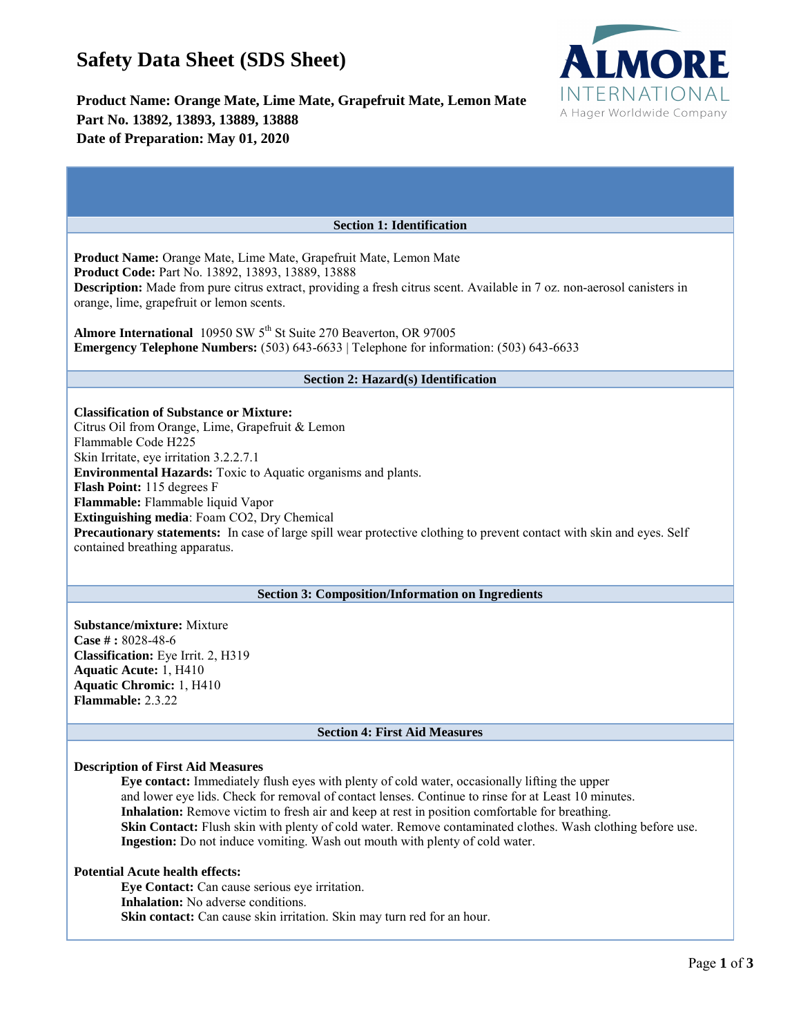# **Safety Data Sheet (SDS Sheet)**



# **Product Name: Orange Mate, Lime Mate, Grapefruit Mate, Lemon Mate Part No. 13892, 13893, 13889, 13888 Date of Preparation: May 01, 2020**

| <b>Section 1: Identification</b>                                                                                                                                                                                                                                                                                                                                                                                                                                                                                          |
|---------------------------------------------------------------------------------------------------------------------------------------------------------------------------------------------------------------------------------------------------------------------------------------------------------------------------------------------------------------------------------------------------------------------------------------------------------------------------------------------------------------------------|
| <b>Product Name:</b> Orange Mate, Lime Mate, Grapefruit Mate, Lemon Mate<br>Product Code: Part No. 13892, 13893, 13889, 13888<br><b>Description:</b> Made from pure citrus extract, providing a fresh citrus scent. Available in 7 oz. non-aerosol canisters in<br>orange, lime, grapefruit or lemon scents.<br>Almore International 10950 SW 5 <sup>th</sup> St Suite 270 Beaverton, OR 97005<br><b>Emergency Telephone Numbers:</b> $(503)$ $643-6633$   Telephone for information: $(503)$ $643-6633$                  |
| <b>Section 2: Hazard(s) Identification</b>                                                                                                                                                                                                                                                                                                                                                                                                                                                                                |
| <b>Classification of Substance or Mixture:</b><br>Citrus Oil from Orange, Lime, Grapefruit & Lemon<br>Flammable Code H225<br>Skin Irritate, eye irritation 3.2.2.7.1<br><b>Environmental Hazards:</b> Toxic to Aquatic organisms and plants.<br>Flash Point: 115 degrees F<br>Flammable: Flammable liquid Vapor<br>Extinguishing media: Foam CO2, Dry Chemical<br>Precautionary statements: In case of large spill wear protective clothing to prevent contact with skin and eyes. Self<br>contained breathing apparatus. |
| <b>Section 3: Composition/Information on Ingredients</b>                                                                                                                                                                                                                                                                                                                                                                                                                                                                  |
| <b>Substance/mixture: Mixture</b><br>Case $\#$ : 8028-48-6<br>Classification: Eye Irrit. 2, H319<br><b>Aquatic Acute: 1, H410</b><br><b>Aquatic Chromic: 1, H410</b><br><b>Flammable: 2.3.22</b>                                                                                                                                                                                                                                                                                                                          |
| <b>Section 4: First Aid Measures</b>                                                                                                                                                                                                                                                                                                                                                                                                                                                                                      |
|                                                                                                                                                                                                                                                                                                                                                                                                                                                                                                                           |

# **Description of First Aid Measures**

**Eye contact:** Immediately flush eyes with plenty of cold water, occasionally lifting the upper and lower eye lids. Check for removal of contact lenses. Continue to rinse for at Least 10 minutes. **Inhalation:** Remove victim to fresh air and keep at rest in position comfortable for breathing. **Skin Contact:** Flush skin with plenty of cold water. Remove contaminated clothes. Wash clothing before use. **Ingestion:** Do not induce vomiting. Wash out mouth with plenty of cold water.

#### **Potential Acute health effects:**

**Eye Contact:** Can cause serious eye irritation. **Inhalation:** No adverse conditions. Skin contact: Can cause skin irritation. Skin may turn red for an hour.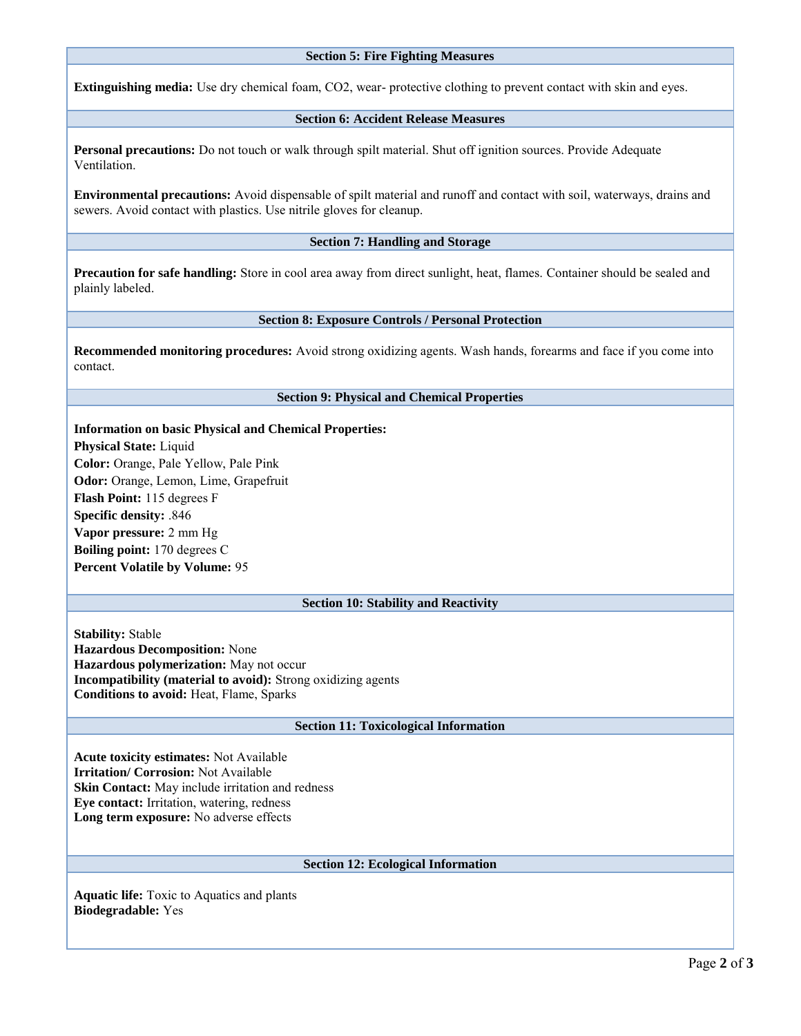#### **Section 5: Fire Fighting Measures**

**Extinguishing media:** Use dry chemical foam, CO2, wear- protective clothing to prevent contact with skin and eyes.

# **Section 6: Accident Release Measures**

**Personal precautions:** Do not touch or walk through spilt material. Shut off ignition sources. Provide Adequate Ventilation.

**Environmental precautions:** Avoid dispensable of spilt material and runoff and contact with soil, waterways, drains and sewers. Avoid contact with plastics. Use nitrile gloves for cleanup.

# **Section 7: Handling and Storage**

**Precaution for safe handling:** Store in cool area away from direct sunlight, heat, flames. Container should be sealed and plainly labeled.

#### **Section 8: Exposure Controls / Personal Protection**

**Recommended monitoring procedures:** Avoid strong oxidizing agents. Wash hands, forearms and face if you come into contact.

#### **Section 9: Physical and Chemical Properties**

**Information on basic Physical and Chemical Properties: Physical State:** Liquid **Color:** Orange, Pale Yellow, Pale Pink **Odor:** Orange, Lemon, Lime, Grapefruit **Flash Point:** 115 degrees F **Specific density:** .846 **Vapor pressure:** 2 mm Hg **Boiling point:** 170 degrees C **Percent Volatile by Volume:** 95

# **Section 10: Stability and Reactivity**

**Stability:** Stable **Hazardous Decomposition:** None **Hazardous polymerization:** May not occur **Incompatibility (material to avoid):** Strong oxidizing agents **Conditions to avoid:** Heat, Flame, Sparks

#### **Section 11: Toxicological Information**

**Acute toxicity estimates:** Not Available **Irritation/ Corrosion:** Not Available **Skin Contact:** May include irritation and redness **Eye contact:** Irritation, watering, redness **Long term exposure:** No adverse effects

# **Section 12: Ecological Information**

**Aquatic life:** Toxic to Aquatics and plants **Biodegradable:** Yes